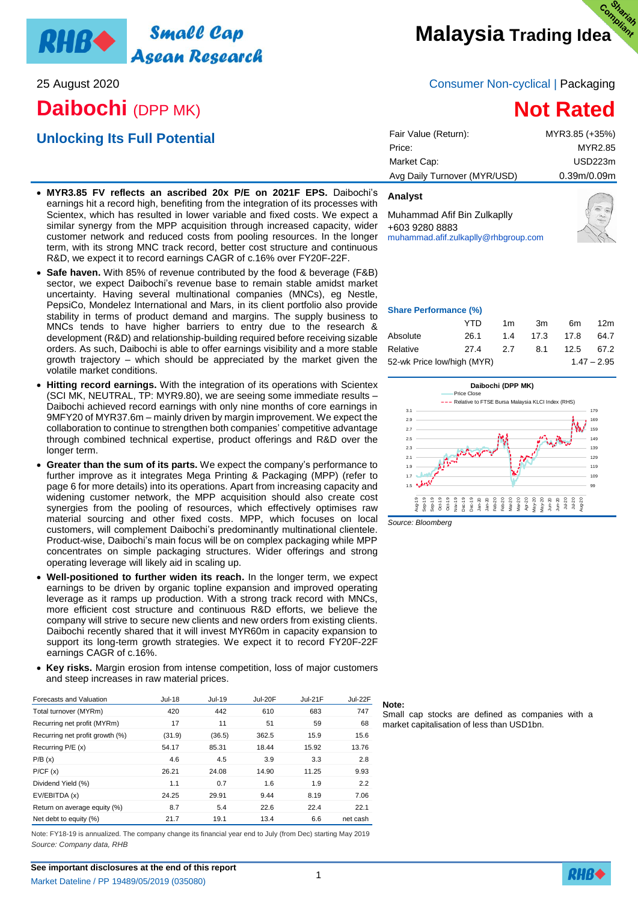

## **Daibochi** (DPP MK)

## **Unlocking Its Full Potential**

## 25 August 2020 Consumer Non-cyclical | Packaging

# **Not Rated**

| Fair Value (Return):         | MYR3.85 (+35%) |
|------------------------------|----------------|
| Price:                       | MYR2.85        |
| Market Cap:                  | USD223m        |
| Avg Daily Turnover (MYR/USD) | 0.39m/0.09m    |
|                              |                |

- **MYR3.85 FV reflects an ascribed 20x P/E on 2021F EPS.** Daibochi's earnings hit a record high, benefiting from the integration of its processes with Scientex, which has resulted in lower variable and fixed costs. We expect a similar synergy from the MPP acquisition through increased capacity, wider customer network and reduced costs from pooling resources. In the longer term, with its strong MNC track record, better cost structure and continuous R&D, we expect it to record earnings CAGR of c.16% over FY20F-22F.
- **Safe haven.** With 85% of revenue contributed by the food & beverage (F&B) sector, we expect Daibochi's revenue base to remain stable amidst market uncertainty. Having several multinational companies (MNCs), eg Nestle, PepsiCo, Mondelez International and Mars, in its client portfolio also provide stability in terms of product demand and margins. The supply business to MNCs tends to have higher barriers to entry due to the research & development (R&D) and relationship-building required before receiving sizable orders. As such, Daibochi is able to offer earnings visibility and a more stable growth trajectory – which should be appreciated by the market given the volatile market conditions.
- **Hitting record earnings.** With the integration of its operations with Scientex (SCI MK, NEUTRAL, TP: MYR9.80), we are seeing some immediate results – Daibochi achieved record earnings with only nine months of core earnings in 9MFY20 of MYR37.6m – mainly driven by margin improvement. We expect the collaboration to continue to strengthen both companies' competitive advantage through combined technical expertise, product offerings and R&D over the longer term.
- **Greater than the sum of its parts.** We expect the company's performance to further improve as it integrates Mega Printing & Packaging (MPP) (refer to page 6 for more details) into its operations. Apart from increasing capacity and widening customer network, the MPP acquisition should also create cost synergies from the pooling of resources, which effectively optimises raw material sourcing and other fixed costs. MPP, which focuses on local customers, will complement Daibochi's predominantly multinational clientele. Product-wise, Daibochi's main focus will be on complex packaging while MPP concentrates on simple packaging structures. Wider offerings and strong operating leverage will likely aid in scaling up.
- **Well-positioned to further widen its reach.** In the longer term, we expect earnings to be driven by organic topline expansion and improved operating leverage as it ramps up production. With a strong track record with MNCs, more efficient cost structure and continuous R&D efforts, we believe the company will strive to secure new clients and new orders from existing clients. Daibochi recently shared that it will invest MYR60m in capacity expansion to support its long-term growth strategies. We expect it to record FY20F-22F earnings CAGR of c.16%.
- **Key risks.** Margin erosion from intense competition, loss of major customers and steep increases in raw material prices.

| Forecasts and Valuation         | Jul-18 | Jul-19 | Jul-20F | $Jul-21F$ | Jul-22F  |
|---------------------------------|--------|--------|---------|-----------|----------|
| Total turnover (MYRm)           | 420    | 442    | 610     | 683       | 747      |
| Recurring net profit (MYRm)     | 17     | 11     | 51      | 59        | 68       |
| Recurring net profit growth (%) | (31.9) | (36.5) | 362.5   | 15.9      | 15.6     |
| Recurring P/E (x)               | 54.17  | 85.31  | 18.44   | 15.92     | 13.76    |
| P/B(x)                          | 4.6    | 4.5    | 3.9     | 3.3       | 2.8      |
| P/CF(x)                         | 26.21  | 24.08  | 14.90   | 11.25     | 9.93     |
| Dividend Yield (%)              | 1.1    | 0.7    | 1.6     | 1.9       | 2.2      |
| EV/EBITDA (x)                   | 24.25  | 29.91  | 9.44    | 8.19      | 7.06     |
| Return on average equity (%)    | 8.7    | 5.4    | 22.6    | 22.4      | 22.1     |
| Net debt to equity (%)          | 21.7   | 19.1   | 13.4    | 6.6       | net cash |

Note: FY18-19 is annualized. The company change its financial year end to July (from Dec) starting May 2019 *Source: Company data, RHB*

| Price:                      | MYR2.85     |
|-----------------------------|-------------|
| /larket Cap:                | USD223m     |
| wg Daily Turnover (MYR/USD) | 0.39m/0.09m |
|                             |             |

## **Analyst**

Muhammad Afif Bin Zulkaplly +603 9280 8883 [muhammad.afif.zulkaplly@rhbgroup.com](file:///C:/Users/452378/Desktop/Folder/Research/Consumer/Companies/Daibochi/muhammad.afif.zulkaplly@rhbgroup.com)



### **Share Performance (%)**

|                            | YTD  | 1m  | 3m   | 6m   | 12m           |
|----------------------------|------|-----|------|------|---------------|
| Absolute                   | 26.1 | 1.4 | 17.3 | 17.8 | 64.7          |
| Relative                   | 27.4 | 2.7 | 8.1  | 12.5 | 67.2          |
| 52-wk Price low/high (MYR) |      |     |      |      | $1.47 - 2.95$ |



**Note:**

Small cap stocks are defined as companies with a market capitalisation of less than USD1bn.

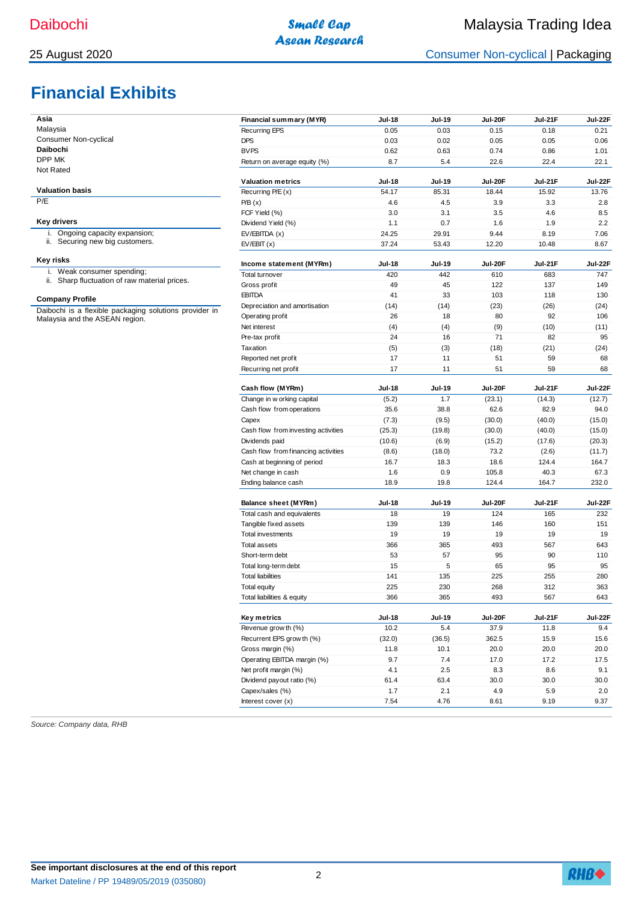## 25 August 2020 Consumer Non-cyclical | Packaging

# **Financial Exhibits**

| Asia                                                                                     | Financial summary (MYR)             | <b>Jul-18</b>  | <b>Jul-19</b>  | <b>Jul-20F</b> | Jul-21F        | Jul-22F      |
|------------------------------------------------------------------------------------------|-------------------------------------|----------------|----------------|----------------|----------------|--------------|
| Malaysia                                                                                 | <b>Recurring EPS</b>                | 0.05           | 0.03           | 0.15           | 0.18           | 0.21         |
| Consumer Non-cyclical                                                                    | <b>DPS</b>                          | 0.03           | 0.02           | 0.05           | 0.05           | 0.06         |
| Daibochi                                                                                 | <b>BVPS</b>                         | 0.62           | 0.63           | 0.74           | 0.86           | 1.01         |
| DPP MK                                                                                   | Return on average equity (%)        | 8.7            | 5.4            | 22.6           | 22.4           | 22.1         |
| Not Rated                                                                                |                                     |                |                |                |                |              |
| <b>Valuation basis</b>                                                                   | <b>Valuation metrics</b>            | <b>Jul-18</b>  | <b>Jul-19</b>  | Jul-20F        | Jul-21F        | Jul-22F      |
| P/E                                                                                      | Recurring P/E (x)                   | 54.17          | 85.31          | 18.44          | 15.92          | 13.76        |
|                                                                                          | P/B(x)                              | 4.6            | 4.5            | 3.9            | 3.3            | 2.8          |
| <b>Key drivers</b>                                                                       | FCF Yield (%)                       | 3.0            | 3.1            | 3.5            | 4.6            | 8.5          |
| Ongoing capacity expansion;                                                              | Dividend Yield (%)                  | 1.1            | 0.7            | 1.6<br>9.44    | 1.9            | 2.2          |
| Ъ.<br>ii. Securing new big customers.                                                    | EV/EBITDA(x)<br>EV/EBIT(x)          | 24.25<br>37.24 | 29.91<br>53.43 | 12.20          | 8.19<br>10.48  | 7.06<br>8.67 |
|                                                                                          |                                     |                |                |                |                |              |
| <b>Key risks</b>                                                                         | Income statement (MYRm)             | <b>Jul-18</b>  | <b>Jul-19</b>  | Jul-20F        | <b>Jul-21F</b> | Jul-22F      |
| i. Weak consumer spending;                                                               | Total turnover                      | 420            | 442            | 610            | 683            | 747          |
| ii. Sharp fluctuation of raw material prices.                                            | Gross profit                        | 49             | 45             | 122            | 137            | 149          |
|                                                                                          | <b>EBITDA</b>                       | 41             | 33             | 103            | 118            | 130          |
| <b>Company Profile</b>                                                                   | Depreciation and amortisation       | (14)           | (14)           | (23)           | (26)           | (24)         |
| Daibochi is a flexible packaging solutions provider in<br>Malaysia and the ASEAN region. | Operating profit                    | 26             | 18             | 80             | 92             | 106          |
|                                                                                          | Net interest                        | (4)            | (4)            | (9)            | (10)           | (11)         |
|                                                                                          | Pre-tax profit                      | 24             | 16             | 71             | 82             | 95           |
|                                                                                          | Taxation                            | (5)            | (3)            | (18)           | (21)           | (24)         |
|                                                                                          | Reported net profit                 | 17             | 11             | 51             | 59             | 68           |
|                                                                                          | Recurring net profit                | 17             | 11             | 51             | 59             | 68           |
|                                                                                          |                                     |                |                |                |                |              |
|                                                                                          | Cash flow (MYRm)                    | <b>Jul-18</b>  | <b>Jul-19</b>  | Jul-20F        | Jul-21F        | Jul-22F      |
|                                                                                          | Change in w orking capital          | (5.2)          | 1.7            | (23.1)         | (14.3)         | (12.7)       |
|                                                                                          | Cash flow from operations           | 35.6           | 38.8           | 62.6           | 82.9           | 94.0         |
|                                                                                          | Capex                               | (7.3)          | (9.5)          | (30.0)         | (40.0)         | (15.0)       |
|                                                                                          | Cash flow from investing activities | (25.3)         | (19.8)         | (30.0)         | (40.0)         | (15.0)       |
|                                                                                          | Dividends paid                      | (10.6)         | (6.9)          | (15.2)         | (17.6)         | (20.3)       |
|                                                                                          | Cash flow from financing activities | (8.6)          | (18.0)         | 73.2           | (2.6)          | (11.7)       |
|                                                                                          | Cash at beginning of period         | 16.7           | 18.3           | 18.6           | 124.4          | 164.7        |
|                                                                                          | Net change in cash                  | 1.6            | 0.9            | 105.8          | 40.3           | 67.3         |
|                                                                                          | Ending balance cash                 | 18.9           | 19.8           | 124.4          | 164.7          | 232.0        |
|                                                                                          | Balance sheet (MYRm)                | <b>Jul-18</b>  | <b>Jul-19</b>  | Jul-20F        | Jul-21F        | Jul-22F      |
|                                                                                          | Total cash and equivalents          | 18             | 19             | 124            | 165            | 232          |
|                                                                                          | Tangible fixed assets               | 139            | 139            | 146            | 160            | 151          |
|                                                                                          | <b>Total investments</b>            | 19             | 19             | 19             | 19             | 19           |
|                                                                                          | <b>Total assets</b>                 | 366            | 365            | 493            | 567            | 643          |
|                                                                                          | Short-term debt                     | 53             | 57             | 95             | 90             | 110          |
|                                                                                          | Total long-term debt                | 15             | 5              | 65             | 95             | 95           |
|                                                                                          | <b>Total liabilities</b>            | 141            | 135            | 225            | 255            | 280          |
|                                                                                          | <b>Total equity</b>                 | 225            | 230            | 268            | 312            | 363          |
|                                                                                          | Total liabilities & equity          | 366            | 365            | 493            | 567            | 643          |
|                                                                                          |                                     |                |                |                |                |              |
|                                                                                          | Key metrics                         | <b>Jul-18</b>  | <b>Jul-19</b>  | Jul-20F        | Jul-21F        | Jul-22F      |
|                                                                                          | Revenue grow th (%)                 | 10.2           | 5.4            | 37.9           | 11.8           | 9.4          |
|                                                                                          | Recurrent EPS grow th (%)           | (32.0)         | (36.5)         | 362.5          | 15.9           | 15.6         |
|                                                                                          | Gross margin (%)                    | 11.8           | 10.1           | 20.0           | 20.0           | 20.0         |
|                                                                                          | Operating EBITDA margin (%)         | 9.7            | 7.4            | 17.0           | 17.2           | 17.5         |
|                                                                                          | Net profit margin (%)               | 4.1            | 2.5            | 8.3            | 8.6            | 9.1          |
|                                                                                          | Dividend payout ratio (%)           | 61.4           | 63.4           | 30.0           | 30.0           | 30.0         |
|                                                                                          | Capex/sales (%)                     | 1.7            | 2.1            | 4.9            | 5.9            | 2.0          |
|                                                                                          | Interest cover (x)                  | 7.54           | 4.76           | 8.61           | 9.19           | 9.37         |

*Source: Company data, RHB*

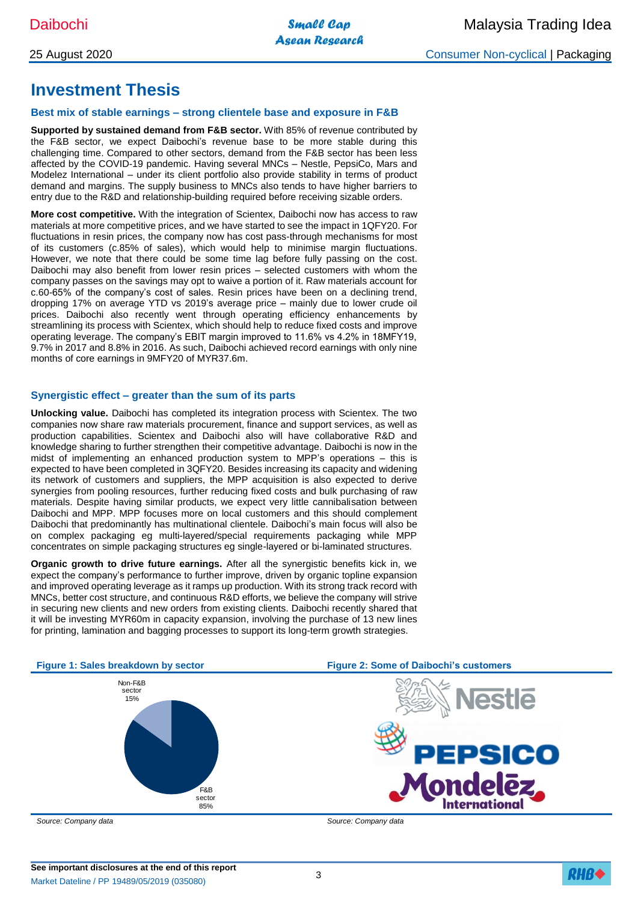## **Investment Thesis**

## **Best mix of stable earnings – strong clientele base and exposure in F&B**

**Supported by sustained demand from F&B sector.** With 85% of revenue contributed by the F&B sector, we expect Daibochi's revenue base to be more stable during this challenging time. Compared to other sectors, demand from the F&B sector has been less affected by the COVID-19 pandemic. Having several MNCs – Nestle, PepsiCo, Mars and Modelez International – under its client portfolio also provide stability in terms of product demand and margins. The supply business to MNCs also tends to have higher barriers to entry due to the R&D and relationship-building required before receiving sizable orders.

**More cost competitive.** With the integration of Scientex, Daibochi now has access to raw materials at more competitive prices, and we have started to see the impact in 1QFY20. For fluctuations in resin prices, the company now has cost pass-through mechanisms for most of its customers (c.85% of sales), which would help to minimise margin fluctuations. However, we note that there could be some time lag before fully passing on the cost. Daibochi may also benefit from lower resin prices – selected customers with whom the company passes on the savings may opt to waive a portion of it. Raw materials account for c.60-65% of the company's cost of sales. Resin prices have been on a declining trend, dropping 17% on average YTD vs 2019's average price – mainly due to lower crude oil prices. Daibochi also recently went through operating efficiency enhancements by streamlining its process with Scientex, which should help to reduce fixed costs and improve operating leverage. The company's EBIT margin improved to 11.6% vs 4.2% in 18MFY19, 9.7% in 2017 and 8.8% in 2016. As such, Daibochi achieved record earnings with only nine months of core earnings in 9MFY20 of MYR37.6m.

### **Synergistic effect – greater than the sum of its parts**

**Unlocking value.** Daibochi has completed its integration process with Scientex. The two companies now share raw materials procurement, finance and support services, as well as production capabilities. Scientex and Daibochi also will have collaborative R&D and knowledge sharing to further strengthen their competitive advantage. Daibochi is now in the midst of implementing an enhanced production system to MPP's operations – this is expected to have been completed in 3QFY20. Besides increasing its capacity and widening its network of customers and suppliers, the MPP acquisition is also expected to derive synergies from pooling resources, further reducing fixed costs and bulk purchasing of raw materials. Despite having similar products, we expect very little cannibalisation between Daibochi and MPP. MPP focuses more on local customers and this should complement Daibochi that predominantly has multinational clientele. Daibochi's main focus will also be on complex packaging eg multi-layered/special requirements packaging while MPP concentrates on simple packaging structures eg single-layered or bi-laminated structures.

**Organic growth to drive future earnings.** After all the synergistic benefits kick in, we expect the company's performance to further improve, driven by organic topline expansion and improved operating leverage as it ramps up production. With its strong track record with MNCs, better cost structure, and continuous R&D efforts, we believe the company will strive in securing new clients and new orders from existing clients. Daibochi recently shared that it will be investing MYR60m in capacity expansion, involving the purchase of 13 new lines for printing, lamination and bagging processes to support its long-term growth strategies.





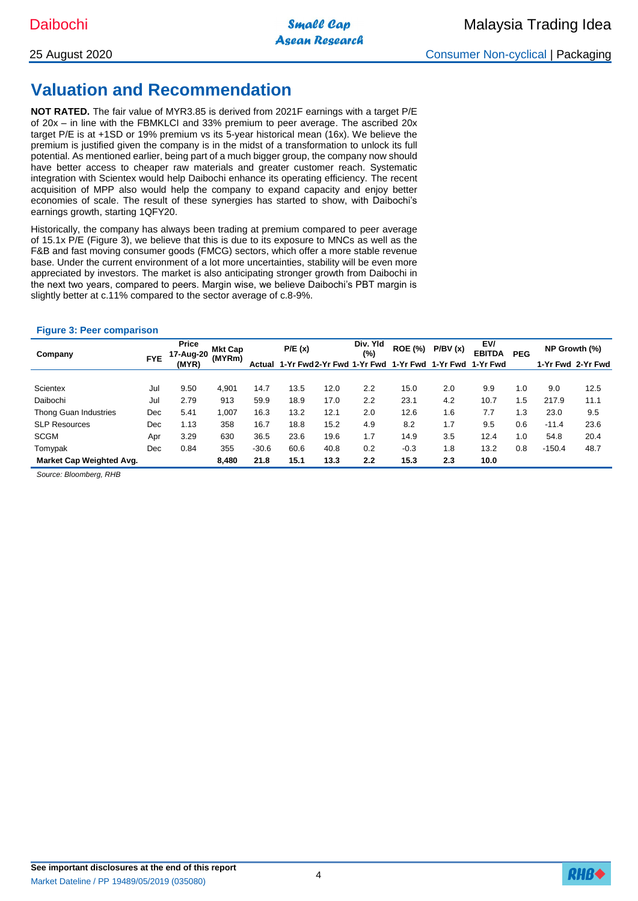## **Valuation and Recommendation**

**NOT RATED.** The fair value of MYR3.85 is derived from 2021F earnings with a target P/E of 20x – in line with the FBMKLCI and 33% premium to peer average. The ascribed 20x target P/E is at +1SD or 19% premium vs its 5-year historical mean (16x). We believe the premium is justified given the company is in the midst of a transformation to unlock its full potential. As mentioned earlier, being part of a much bigger group, the company now should have better access to cheaper raw materials and greater customer reach. Systematic integration with Scientex would help Daibochi enhance its operating efficiency. The recent acquisition of MPP also would help the company to expand capacity and enjoy better economies of scale. The result of these synergies has started to show, with Daibochi's earnings growth, starting 1QFY20.

Historically, the company has always been trading at premium compared to peer average of 15.1x P/E (Figure 3), we believe that this is due to its exposure to MNCs as well as the F&B and fast moving consumer goods (FMCG) sectors, which offer a more stable revenue base. Under the current environment of a lot more uncertainties, stability will be even more appreciated by investors. The market is also anticipating stronger growth from Daibochi in the next two years, compared to peers. Margin wise, we believe Daibochi's PBT margin is slightly better at c.11% compared to the sector average of c.8-9%.

## **Figure 3: Peer comparison**

| Company                  |            | Price |       | 17-Aug-20 |                                                       | <b>Mkt Cap</b><br>(MYRm) |     | P/E(x) |     | Div. Yld<br>(%) | <b>ROE (%)</b> | P/BV(x)           | EV/<br><b>EBITDA</b> | <b>PEG</b> | NP Growth (%) |  |
|--------------------------|------------|-------|-------|-----------|-------------------------------------------------------|--------------------------|-----|--------|-----|-----------------|----------------|-------------------|----------------------|------------|---------------|--|
|                          | <b>FYE</b> | (MYR) |       | Actual    | 1-Yr Fwd 2-Yr Fwd 1-Yr Fwd 1-Yr Fwd 1-Yr Fwd 1-Yr Fwd |                          |     |        |     |                 |                | 1-Yr Fwd 2-Yr Fwd |                      |            |               |  |
|                          |            |       |       |           |                                                       |                          |     |        |     |                 |                |                   |                      |            |               |  |
| Scientex                 | Jul        | 9.50  | 4.901 | 14.7      | 13.5                                                  | 12.0                     | 2.2 | 15.0   | 2.0 | 9.9             | 1.0            | 9.0               | 12.5                 |            |               |  |
| Daibochi                 | Jul        | 2.79  | 913   | 59.9      | 18.9                                                  | 17.0                     | 2.2 | 23.1   | 4.2 | 10.7            | 1.5            | 217.9             | 11.1                 |            |               |  |
| Thong Guan Industries    | Dec        | 5.41  | 1,007 | 16.3      | 13.2                                                  | 12.1                     | 2.0 | 12.6   | 1.6 | 7.7             | 1.3            | 23.0              | 9.5                  |            |               |  |
| <b>SLP Resources</b>     | Dec        | 1.13  | 358   | 16.7      | 18.8                                                  | 15.2                     | 4.9 | 8.2    | 1.7 | 9.5             | 0.6            | $-11.4$           | 23.6                 |            |               |  |
| <b>SCGM</b>              | Apr        | 3.29  | 630   | 36.5      | 23.6                                                  | 19.6                     | 1.7 | 14.9   | 3.5 | 12.4            | 1.0            | 54.8              | 20.4                 |            |               |  |
| Tomypak                  | Dec        | 0.84  | 355   | $-30.6$   | 60.6                                                  | 40.8                     | 0.2 | $-0.3$ | 1.8 | 13.2            | 0.8            | $-150.4$          | 48.7                 |            |               |  |
| Market Cap Weighted Avg. |            |       | 8,480 | 21.8      | 15.1                                                  | 13.3                     | 2.2 | 15.3   | 2.3 | 10.0            |                |                   |                      |            |               |  |

*Source: Bloomberg, RHB*

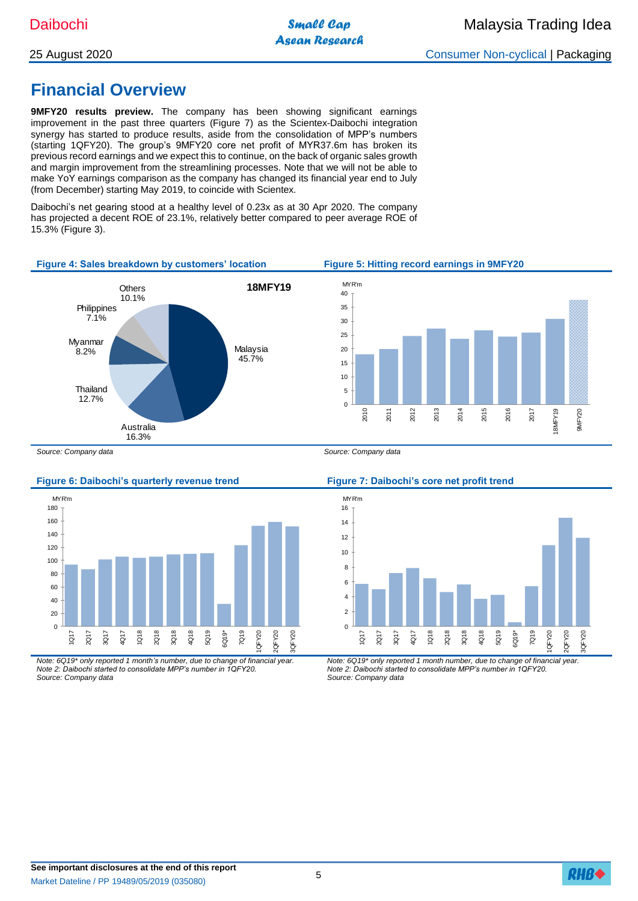## 25 August 2020 Consumer Non-cyclical | Packaging

## **Financial Overview**

**9MFY20 results preview.** The company has been showing significant earnings improvement in the past three quarters (Figure 7) as the Scientex-Daibochi integration synergy has started to produce results, aside from the consolidation of MPP's numbers (starting 1QFY20). The group's 9MFY20 core net profit of MYR37.6m has broken its previous record earnings and we expect this to continue, on the back of organic sales growth and margin improvement from the streamlining processes. Note that we will not be able to make YoY earnings comparison as the company has changed its financial year end to July (from December) starting May 2019, to coincide with Scientex.

Daibochi's net gearing stood at a healthy level of 0.23x as at 30 Apr 2020. The company has projected a decent ROE of 23.1%, relatively better compared to peer average ROE of 15.3% (Figure 3).



### **Figure 6: Daibochi's quarterly revenue trend Figure 7: Daibochi's core net profit trend**



*Note: 6Q19\* only reported 1 month's number, due to change of financial year. Note 2: Daibochi started to consolidate MPP's number in 1QFY20. Source: Company data*



*Note: 6Q19\* only reported 1 month number, due to change of financial year. Note 2: Daibochi started to consolidate MPP's number in 1QFY20. Source: Company data*

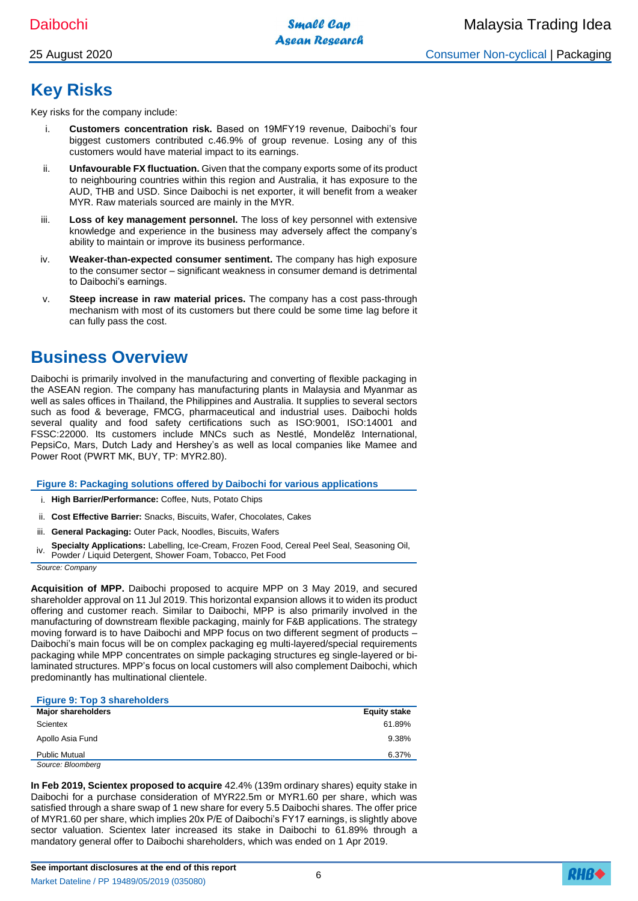## **Key Risks**

Key risks for the company include:

- i. **Customers concentration risk.** Based on 19MFY19 revenue, Daibochi's four biggest customers contributed c.46.9% of group revenue. Losing any of this customers would have material impact to its earnings.
- ii. **Unfavourable FX fluctuation.** Given that the company exports some of its product to neighbouring countries within this region and Australia, it has exposure to the AUD, THB and USD. Since Daibochi is net exporter, it will benefit from a weaker MYR. Raw materials sourced are mainly in the MYR.
- iii. **Loss of key management personnel.** The loss of key personnel with extensive knowledge and experience in the business may adversely affect the company's ability to maintain or improve its business performance.
- iv. **Weaker-than-expected consumer sentiment.** The company has high exposure to the consumer sector – significant weakness in consumer demand is detrimental to Daibochi's earnings.
- v. **Steep increase in raw material prices.** The company has a cost pass-through mechanism with most of its customers but there could be some time lag before it can fully pass the cost.

## **Business Overview**

Daibochi is primarily involved in the manufacturing and converting of flexible packaging in the ASEAN region. The company has manufacturing plants in Malaysia and Myanmar as well as sales offices in Thailand, the Philippines and Australia. It supplies to several sectors such as food & beverage, FMCG, pharmaceutical and industrial uses. Daibochi holds several quality and food safety certifications such as ISO:9001, ISO:14001 and FSSC:22000. Its customers include MNCs such as Nestlé, Mondelēz International, PepsiCo, Mars, Dutch Lady and Hershey's as well as local companies like Mamee and Power Root (PWRT MK, BUY, TP: MYR2.80).

**Figure 8: Packaging solutions offered by Daibochi for various applications**

- i. **High Barrier/Performance:** Coffee, Nuts, Potato Chips
- ii. **Cost Effective Barrier:** Snacks, Biscuits, Wafer, Chocolates, Cakes
- iii. **General Packaging:** Outer Pack, Noodles, Biscuits, Wafers
- iv. **Specialty Applications:** Labelling, Ice-Cream, Frozen Food, Cereal Peel Seal, Seasoning Oil, Powder / Liquid Detergent, Shower Foam, Tobacco, Pet Food

*Source: Company*

**Acquisition of MPP.** Daibochi proposed to acquire MPP on 3 May 2019, and secured shareholder approval on 11 Jul 2019. This horizontal expansion allows it to widen its product offering and customer reach. Similar to Daibochi, MPP is also primarily involved in the manufacturing of downstream flexible packaging, mainly for F&B applications. The strategy moving forward is to have Daibochi and MPP focus on two different segment of products – Daibochi's main focus will be on complex packaging eg multi-layered/special requirements packaging while MPP concentrates on simple packaging structures eg single-layered or bilaminated structures. MPP's focus on local customers will also complement Daibochi, which predominantly has multinational clientele.

### **Figure 9: Top 3 shareholders**

| <b>Major shareholders</b> | <b>Equity stake</b> |
|---------------------------|---------------------|
| Scientex                  | 61.89%              |
| Apollo Asia Fund          | 9.38%               |
| <b>Public Mutual</b>      | 6.37%               |
| Source: Bloomberg         |                     |

**In Feb 2019, Scientex proposed to acquire** 42.4% (139m ordinary shares) equity stake in Daibochi for a purchase consideration of MYR22.5m or MYR1.60 per share, which was satisfied through a share swap of 1 new share for every 5.5 Daibochi shares. The offer price of MYR1.60 per share, which implies 20x P/E of Daibochi's FY17 earnings, is slightly above sector valuation. Scientex later increased its stake in Daibochi to 61.89% through a mandatory general offer to Daibochi shareholders, which was ended on 1 Apr 2019.

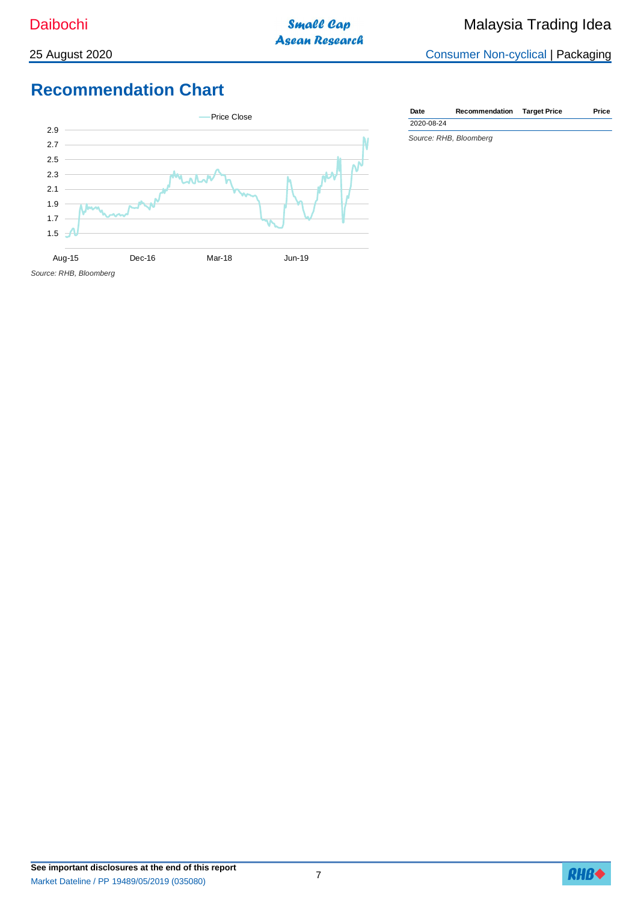25 August 2020 Consumer Non-cyclical | Packaging

## **Recommendation Chart**



*Source: RHB, Bloomberg* **Date Recommendation Target Price Price** 2020-08-24

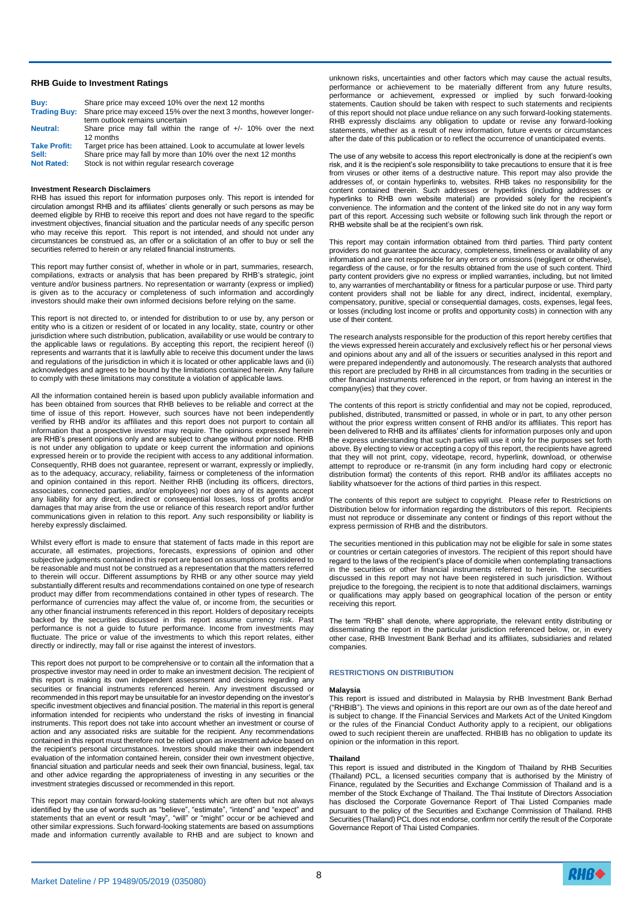#### **RHB Guide to Investment Ratings**

| Buv:                | Share price may exceed 10% over the next 12 months                                                                |
|---------------------|-------------------------------------------------------------------------------------------------------------------|
|                     | Trading Buy: Share price may exceed 15% over the next 3 months, however longer-<br>term outlook remains uncertain |
| <b>Neutral:</b>     | Share price may fall within the range of $+/-$ 10% over the next<br>12 months                                     |
| <b>Take Profit:</b> | Target price has been attained. Look to accumulate at lower levels                                                |
| Sell:               | Share price may fall by more than 10% over the next 12 months                                                     |
| <b>Not Rated:</b>   | Stock is not within regular research coverage                                                                     |

#### **Investment Research Disclaimers**

RHB has issued this report for information purposes only. This report is intended for circulation amongst RHB and its affiliates' clients generally or such persons as may be deemed eligible by RHB to receive this report and does not have regard to the specific investment objectives, financial situation and the particular needs of any specific person who may receive this report. This report is not intended, and should not under any veceive this report. circumstances be construed as, an offer or a solicitation of an offer to buy or sell the securities referred to herein or any related financial instruments.

This report may further consist of, whether in whole or in part, summaries, research, compilations, extracts or analysis that has been prepared by RHB's strategic, joint venture and/or business partners. No representation or warranty (express or implied) is given as to the accuracy or completeness of such information and accordingly investors should make their own informed decisions before relying on the same.

This report is not directed to, or intended for distribution to or use by, any person or entity who is a citizen or resident of or located in any locality, state, country or other jurisdiction where such distribution, publication, availability or use would be contrary to the applicable laws or regulations. By accepting this report, the recipient hereof (i) represents and warrants that it is lawfully able to receive this document under the laws and regulations of the jurisdiction in which it is located or other applicable laws and (ii) acknowledges and agrees to be bound by the limitations contained herein. Any failure to comply with these limitations may constitute a violation of applicable laws.

All the information contained herein is based upon publicly available information and has been obtained from sources that RHB believes to be reliable and correct at the time of issue of this report. However, such sources have not been independently verified by RHB and/or its affiliates and this report does not purport to contain all information that a prospective investor may require. The opinions expressed herein are RHB's present opinions only and are subject to change without prior notice. RHB is not under any obligation to update or keep current the information and opinions expressed herein or to provide the recipient with access to any additional information. Consequently, RHB does not guarantee, represent or warrant, expressly or impliedly, as to the adequacy, accuracy, reliability, fairness or completeness of the information and opinion contained in this report. Neither RHB (including its officers, directors, associates, connected parties, and/or employees) nor does any of its agents accept any liability for any direct, indirect or consequential losses, loss of profits and/or damages that may arise from the use or reliance of this research report and/or further communications given in relation to this report. Any such responsibility or liability is hereby expressly disclaimed.

Whilst every effort is made to ensure that statement of facts made in this report are accurate, all estimates, projections, forecasts, expressions of opinion and other subjective judgments contained in this report are based on assumptions considered to be reasonable and must not be construed as a representation that the matters referred to therein will occur. Different assumptions by RHB or any other source may yield substantially different results and recommendations contained on one type of research product may differ from recommendations contained in other types of research. The performance of currencies may affect the value of, or income from, the securities or any other financial instruments referenced in this report. Holders of depositary receipts backed by the securities discussed in this report assume currency risk. Past performance is not a guide to future performance. Income from investments may fluctuate. The price or value of the investments to which this report relates, either directly or indirectly, may fall or rise against the interest of investors.

This report does not purport to be comprehensive or to contain all the information that a prospective investor may need in order to make an investment decision. The recipient of this report is making its own independent assessment and decisions regarding any securities or financial instruments referenced herein. Any investment discussed or recommended in this report may be unsuitable for an investor depending on the investor's specific investment objectives and financial position. The material in this report is general information intended for recipients who understand the risks of investing in financial instruments. This report does not take into account whether an investment or course of action and any associated risks are suitable for the recipient. Any recommendations contained in this report must therefore not be relied upon as investment advice based on the recipient's personal circumstances. Investors should make their own independent evaluation of the information contained herein, consider their own investment objective, financial situation and particular needs and seek their own financial, business, legal, tax and other advice regarding the appropriateness of investing in any securities or the investment strategies discussed or recommended in this report.

This report may contain forward-looking statements which are often but not always identified by the use of words such as "believe", "estimate", "intend" and "expect" and statements that an event or result "may", "will" or "might" occur or be achieved and other similar expressions. Such forward-looking statements are based on assumptions made and information currently available to RHB and are subject to known and unknown risks, uncertainties and other factors which may cause the actual results, performance or achievement to be materially different from any future results, performance or achievement, expressed or implied by such forward-looking statements. Caution should be taken with respect to such statements and recipients of this report should not place undue reliance on any such forward-looking statements. RHB expressly disclaims any obligation to update or revise any forward-looking statements, whether as a result of new information, future events or circumstances after the date of this publication or to reflect the occurrence of unanticipated events.

The use of any website to access this report electronically is done at the recipient's own risk, and it is the recipient's sole responsibility to take precautions to ensure that it is free from viruses or other items of a destructive nature. This report may also provide the addresses of, or contain hyperlinks to, websites. RHB takes no responsibility for the content contained therein. Such addresses or hyperlinks (including addresses or hyperlinks to RHB own website material) are provided solely for the recipient's convenience. The information and the content of the linked site do not in any way form part of this report. Accessing such website or following such link through the report or .<br>RHB website shall be at the recipient's own risk.

This report may contain information obtained from third parties. Third party content providers do not guarantee the accuracy, completeness, timeliness or availability of any information and are not responsible for any errors or omissions (negligent or otherwise), regardless of the cause, or for the results obtained from the use of such content. Third party content providers give no express or implied warranties, including, but not limited to, any warranties of merchantability or fitness for a particular purpose or use. Third party content providers shall not be liable for any direct, indirect, incidental, exemplary, compensatory, punitive, special or consequential damages, costs, expenses, legal fees, or losses (including lost income or profits and opportunity costs) in connection with any use of their content.

The research analysts responsible for the production of this report hereby certifies that the views expressed herein accurately and exclusively reflect his or her personal views and opinions about any and all of the issuers or securities analysed in this report and were prepared independently and autonomously. The research analysts that authored this report are precluded by RHB in all circumstances from trading in the securities or other financial instruments referenced in the report, or from having an interest in the company(ies) that they cover.

The contents of this report is strictly confidential and may not be copied, reproduced, published, distributed, transmitted or passed, in whole or in part, to any other person without the prior express written consent of RHB and/or its affiliates. This report has been delivered to RHB and its affiliates' clients for information purposes only and upon the express understanding that such parties will use it only for the purposes set forth above. By electing to view or accepting a copy of this report, the recipients have agreed that they will not print, copy, videotape, record, hyperlink, download, or otherwise attempt to reproduce or re-transmit (in any form including hard copy or electronic distribution format) the contents of this report. RHB and/or its affiliates accepts no liability whatsoever for the actions of third parties in this respect.

The contents of this report are subject to copyright. Please refer to Restrictions on Distribution below for information regarding the distributors of this report. Recipients must not reproduce or disseminate any content or findings of this report without the express permission of RHB and the distributors.

The securities mentioned in this publication may not be eligible for sale in some states or countries or certain categories of investors. The recipient of this report should have regard to the laws of the recipient's place of domicile when contemplating transactions in the securities or other financial instruments referred to herein. The securities discussed in this report may not have been registered in such jurisdiction. Without prejudice to the foregoing, the recipient is to note that additional disclaimers, warnings or qualifications may apply based on geographical location of the person or entity receiving this report.

The term "RHB" shall denote, where appropriate, the relevant entity distributing or disseminating the report in the particular jurisdiction referenced below, or, in every other case, RHB Investment Bank Berhad and its affiliates, subsidiaries and related companies.

#### **RESTRICTIONS ON DISTRIBUTION**

#### **Malaysia**

This report is issued and distributed in Malaysia by RHB Investment Bank Berhad ("RHBIB"). The views and opinions in this report are our own as of the date hereof and is subject to change. If the Financial Services and Markets Act of the United Kingdom or the rules of the Financial Conduct Authority apply to a recipient, our obligations owed to such recipient therein are unaffected. RHBIB has no obligation to update its opinion or the information in this report.

#### **Thailand**

This report is issued and distributed in the Kingdom of Thailand by RHB Securities (Thailand) PCL, a licensed securities company that is authorised by the Ministry of Finance, regulated by the Securities and Exchange Commission of Thailand and is a member of the Stock Exchange of Thailand. The Thai Institute of Directors Association has disclosed the Corporate Governance Report of Thai Listed Companies made pursuant to the policy of the Securities and Exchange Commission of Thailand. RHB .<br>Securities (Thailand) PCL does not endorse, confirm nor certify the result of the Corporate Governance Report of Thai Listed Companies.

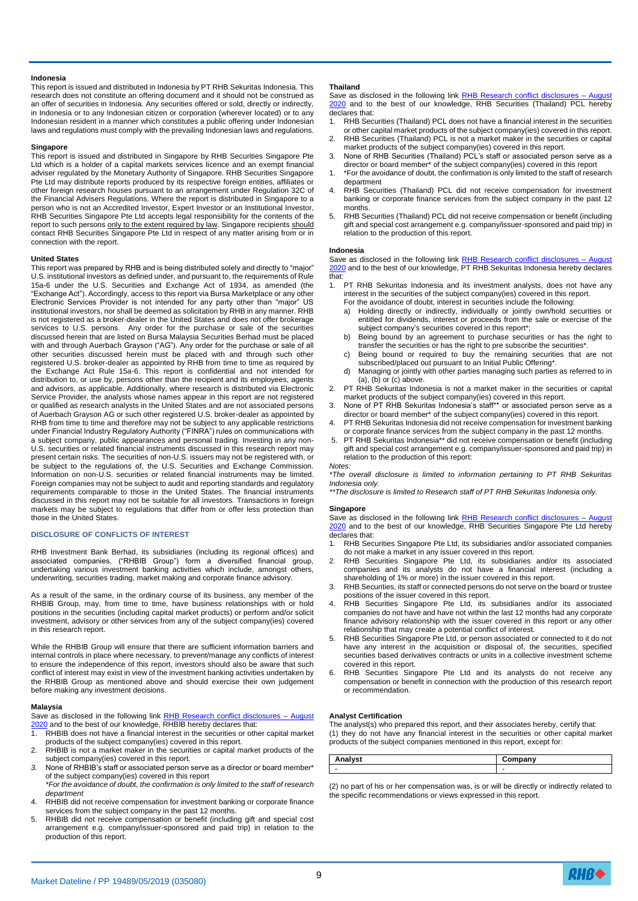#### **Indonesia**

This report is issued and distributed in Indonesia by PT RHB Sekuritas Indonesia. This research does not constitute an offering document and it should not be construed as an offer of securities in Indonesia. Any securities offered or sold, directly or indirectly, in Indonesia or to any Indonesian citizen or corporation (wherever located) or to any Indonesian resident in a manner which constitutes a public offering under Indonesian laws and regulations must comply with the prevailing Indonesian laws and regulations.

#### **Singapore**

This report is issued and distributed in Singapore by RHB Securities Singapore Pte Ltd which is a holder of a capital markets services licence and an exempt financial adviser regulated by the Monetary Authority of Singapore. RHB Securities Singapore Pte Ltd may distribute reports produced by its respective foreign entities, affiliates or other foreign research houses pursuant to an arrangement under Regulation 32C of the Financial Advisers Regulations. Where the report is distributed in Singapore to a person who is not an Accredited Investor, Expert Investor or an Institutional Investor, RHB Securities Singapore Pte Ltd accepts legal responsibility for the contents of the report to such persons only to the extent required by law. Singapore recipients should contact RHB Securities Singapore Pte Ltd in respect of any matter arising from or in connection with the report.

#### **United States**

This report was prepared by RHB and is being distributed solely and directly to "major" U.S. institutional investors as defined under, and pursuant to, the requirements of Rule 15a-6 under the U.S. Securities and Exchange Act of 1934, as amended (the "Exchange Act"). Accordingly, access to this report via Bursa Marketplace or any other Electronic Services Provider is not intended for any party other than "major" US institutional investors, nor shall be deemed as solicitation by RHB in any manner. RHB is not registered as a broker-dealer in the United States and does not offer brokerage services to U.S. persons. Any order for the purchase or sale of the securities discussed herein that are listed on Bursa Malaysia Securities Berhad must be placed with and through Auerbach Grayson ("AG"). Any order for the purchase or sale of all other securities discussed herein must be placed with and through such other registered U.S. broker-dealer as appointed by RHB from time to time as required by the Exchange Act Rule 15a-6. This report is confidential and not intended for distribution to, or use by, persons other than the recipient and its employees, agents and advisors, as applicable. Additionally, where research is distributed via Electronic Service Provider, the analysts whose names appear in this report are not registered or qualified as research analysts in the United States and are not associated persons of Auerbach Grayson AG or such other registered U.S. broker-dealer as appointed by RHB from time to time and therefore may not be subject to any applicable restrictions under Financial Industry Regulatory Authority ("FINRA") rules on communications with a subject company, public appearances and personal trading. Investing in any non-U.S. securities or related financial instruments discussed in this research report may present certain risks. The securities of non-U.S. issuers may not be registered with, or be subject to the regulations of, the U.S. Securities and Exchange Commission. Information on non-U.S. securities or related financial instruments may be limited. Foreign companies may not be subject to audit and reporting standards and regulatory requirements comparable to those in the United States. The financial instruments discussed in this report may not be suitable for all investors. Transactions in foreign markets may be subject to regulations that differ from or offer less protection than those in the United States.

#### **DISCLOSURE OF CONFLICTS OF INTEREST**

RHB Investment Bank Berhad, its subsidiaries (including its regional offices) and associated companies, ("RHBIB Group") form a diversified financial group, undertaking various investment banking activities which include, amongst others, underwriting, securities trading, market making and corporate finance advisory.

As a result of the same, in the ordinary course of its business, any member of the RHBIB Group, may, from time to time, have business relationships with or hold positions in the securities (including capital market products) or perform and/or solicit investment, advisory or other services from any of the subject company(ies) covered in this research report.

While the RHBIB Group will ensure that there are sufficient information barriers and internal controls in place where necessary, to prevent/manage any conflicts of interest to ensure the independence of this report, investors should also be aware that such conflict of interest may exist in view of the investment banking activities undertaken by the RHBIB Group as mentioned above and should exercise their own judgement before making any investment decisions.

#### **Malaysia**

Save as disclosed in the following link RHB Research conflict disclosures - August [2020](https://research.rhbtradesmart.com/attachments/72/rhb-report-rhbib-rhbss-rhbst-rhbsi-conflict-of-interest-disclosures-aug-2020-710009011107402215f2d076381f67.pdf) and to the best of our knowledge, RHBIB hereby declares that:

- 1. RHBIB does not have a financial interest in the securities or other capital market products of the subject company(ies) covered in this report.
- 2. RHBIB is not a market maker in the securities or capital market products of the subject company(ies) covered in this report.
- 3. None of RHBIB's staff or associated person serve as a director or board member\* of the subject company(ies) covered in this report *\*For the avoidance of doubt, the confirmation is only limited to the staff of research*
- *department* RHBIB did not receive compensation for investment banking or corporate finance
- services from the subject company in the past 12 months. 5. RHBIB did not receive compensation or benefit (including gift and special cost arrangement e.g. company/issuer-sponsored and paid trip) in relation to the

#### **Thailand**

Save as disclosed in the following link **RHB Research conflict disclosures** - August [2020](https://research.rhbtradesmart.com/attachments/72/rhb-report-rhbib-rhbss-rhbst-rhbsi-conflict-of-interest-disclosures-aug-2020-710009011107402215f2d076381f67.pdf) and to the best of our knowledge, RHB Securities (Thailand) PCL hereby declares that:

- 1. RHB Securities (Thailand) PCL does not have a financial interest in the securities or other capital market products of the subject company(ies) covered in this report.
- 2. RHB Securities (Thailand) PCL is not a market maker in the securities or capital market products of the subject company(ies) covered in this report.
- 3. None of RHB Securities (Thailand) PCL's staff or associated person serve as a director or board member\* of the subject company(ies) covered in this report
- 1. \*For the avoidance of doubt, the confirmation is only limited to the staff of research department
- 4. RHB Securities (Thailand) PCL did not receive compensation for investment banking or corporate finance services from the subject company in the past 12 months.
- 5. RHB Securities (Thailand) PCL did not receive compensation or benefit (including gift and special cost arrangement e.g. company/issuer-sponsored and paid trip) in relation to the production of this report.

#### **Indonesia**

Save as disclosed in the following link RHB Research conflict disclosures - August [2020](https://research.rhbtradesmart.com/attachments/72/rhb-report-rhbib-rhbss-rhbst-rhbsi-conflict-of-interest-disclosures-aug-2020-710009011107402215f2d076381f67.pdf) and to the best of our knowledge, PT RHB Sekuritas Indonesia hereby declares that:

- 1. PT RHB Sekuritas Indonesia and its investment analysts, does not have any interest in the securities of the subject company(ies) covered in this report.
	- For the avoidance of doubt, interest in securities include the following: a) Holding directly or indirectly, individually or jointly own/hold securities or entitled for dividends, interest or proceeds from the sale or exercise of the subject company's securities covered in this report\*;
	- b) Being bound by an agreement to purchase securities or has the right to transfer the securities or has the right to pre subscribe the securities\*.
	- c) Being bound or required to buy the remaining securities that are not subscribed/placed out pursuant to an Initial Public Offering\*. d) Managing or jointly with other parties managing such parties as referred to in
- $(a)$ ,  $(b)$  or  $(c)$  above.
- 2. PT RHB Sekuritas Indonesia is not a market maker in the securities or capital market products of the subject company(ies) covered in this report. 3. None of PT RHB Sekuritas Indonesia's staff\*\* or associated person serve as a
- director or board member\* of the subject company(ies) covered in this report. PT RHB Sekuritas Indonesia did not receive compensation for investment banking
- or corporate finance services from the subject company in the past 12 months.
- 5. PT RHB Sekuritas Indonesia\*\* did not receive compensation or benefit (including gift and special cost arrangement e.g. company/issuer-sponsored and paid trip) in relation to the production of this report:

*Notes: \*The overall disclosure is limited to information pertaining to PT RHB Sekuritas Indonesia only.*

*\*\*The disclosure is limited to Research staff of PT RHB Sekuritas Indonesia only.*

#### **Singapore**

Save as disclosed in the following link RHB Research conflict disclosures - August [2020](https://research.rhbtradesmart.com/attachments/72/rhb-report-rhbib-rhbss-rhbst-rhbsi-conflict-of-interest-disclosures-aug-2020-710009011107402215f2d076381f67.pdf) and to the best of our knowledge. RHB Securities Singapore Pte Ltd hereby declares that:

- 1. RHB Securities Singapore Pte Ltd, its subsidiaries and/or associated companies do not make a market in any issuer covered in this report.
- 2. RHB Securities Singapore Pte Ltd, its subsidiaries and/or its associated companies and its analysts do not have a financial interest (including a shareholding of 1% or more) in the issuer covered in this report.
- 3. RHB Securities, its staff or connected persons do not serve on the board or trustee positions of the issuer covered in this report.
- 4. RHB Securities Singapore Pte Ltd, its subsidiaries and/or its associated companies do not have and have not within the last 12 months had any corporate finance advisory relationship with the issuer covered in this report or any other relationship that may create a potential conflict of interest.
- 5. RHB Securities Singapore Pte Ltd, or person associated or connected to it do not have any interest in the acquisition or disposal of, the securities, specified securities based derivatives contracts or units in a collective investment scheme covered in this report.
- RHB Securities Singapore Pte Ltd and its analysts do not receive any compensation or benefit in connection with the production of this research report or recommendation.

#### **Analyst Certification**

The analyst(s) who prepared this report, and their associates hereby, certify that: (1) they do not have any financial interest in the securities or other capital market products of the subject companies mentioned in this report, except for:

| $\sim$<br>-<br>שוור      | .                        |
|--------------------------|--------------------------|
| $\overline{\phantom{a}}$ | $\overline{\phantom{0}}$ |

(2) no part of his or her compensation was, is or will be directly or indirectly related to the specific recommendations or views expressed in this report.

production of this report.